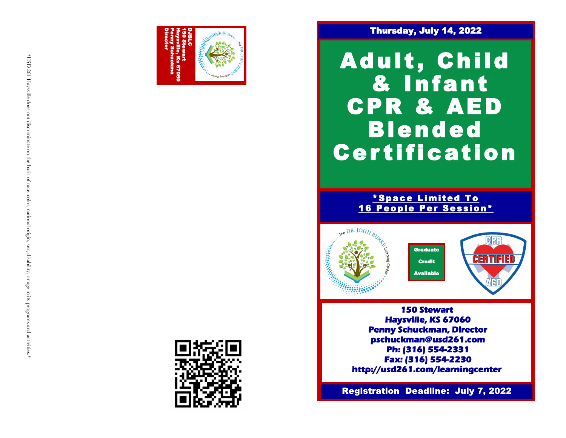

### Thursday, July 14, 2022

Adult, Child & Infant CPR & AED Blended **Certification** 

> \*Space Limited To 16 People Per Session\*



**150 Stewart Haysville, KS 67060 Penny Schuckman, Director pschuckman@usd261.com Ph: (316) 554-2331 Fax: (316) 554-2230 http://usd261.com/learningcenter** 

**Registration Deadline: July 7, 2022**